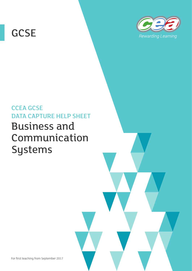# **GCSE**



# CCEA GCSE DATA CAPTURE HELP SHEET Business and Communication Systems

For first teaching from September 2017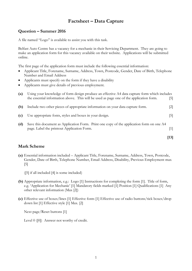### **Factsheet – Data Capture**

#### **Question – Summer 2016**

A file named "Logo" is available to assist you with this task.

Belfast Auto Centre has a vacancy for a mechanic in their Servicing Department. They are going to make an application form for this vacancy available on their website. Applications will be submitted online.

The first page of the application form must include the following essential information:

- Applicant Title, Forename, Surname, Address, Town, Postcode, Gender, Date of Birth, Telephone Number and Email Address
- Applicants must specify on the form if they have a disability
- Applicants must give details of previous employment.

| $\left( a\right)$ | Using your knowledge of form design produce an effective A4 data capture form which includes                                           |                   |  |  |  |  |  |
|-------------------|----------------------------------------------------------------------------------------------------------------------------------------|-------------------|--|--|--|--|--|
|                   | the essential information above. This will be used as page one of the application form.                                                | [5]               |  |  |  |  |  |
| (b)               | Include two other pieces of appropriate information on your data capture form.                                                         | $\lceil 2 \rceil$ |  |  |  |  |  |
| (c)               | Use appropriate fonts, styles and boxes in your design.                                                                                | [5]               |  |  |  |  |  |
| (d)               | Save this document as Application Form. Print one copy of the application form on one A4<br>page. Label the printout Application Form. | [1]               |  |  |  |  |  |
|                   |                                                                                                                                        | [13]              |  |  |  |  |  |

#### **Mark Scheme**

- **(a)** Essential information included Applicant Title, Forename, Surname, Address, Town, Postcode, Gender, Date of Birth, Telephone Number, Email Address, Disability, Previous Employment max [5]
	- ([5] if all included [4] is some included)
- **(b)** Appropriate information, e.g.: Logo [1] Instructions for completing the form [1]. Title of form, e.g. 'Application for Mechanic' [1] Mandatory fields marked [1] Position [1] Qualifications [1] Any other relevant information (Max [2])
- **(c)** Effective use of boxes/lines [1] Effective fonts [1] Effective use of radio buttons/tick boxes/drop down list [1] Effective style [1] Max. [2]

Next page/Reset buttons [1]

Level 0 ([0]) Answer not worthy of credit.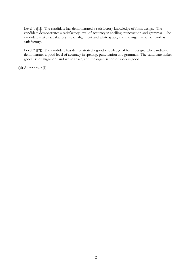Level 1 ([1]) The candidate has demonstrated a satisfactory knowledge of form design. The candidate demonstrates a satisfactory level of accuracy in spelling, punctuation and grammar. The candidate makes satisfactory use of alignment and white space, and the organisation of work is satisfactory.

Level 2 ([2]) The candidate has demonstrated a good knowledge of form design. The candidate demonstrates a good level of accuracy in spelling, punctuation and grammar. The candidate makes good use of alignment and white space, and the organisation of work is good.

**(d)** A4 printout [1]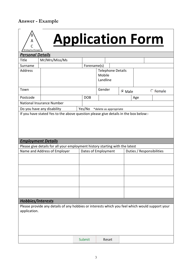## **Answer - Example**



# **Application Form**

| Driving You Forward                                                                 |                                                                                                |             |            |          |                           |        |     |  |                |  |  |
|-------------------------------------------------------------------------------------|------------------------------------------------------------------------------------------------|-------------|------------|----------|---------------------------|--------|-----|--|----------------|--|--|
| <b>Personal Details</b>                                                             |                                                                                                |             |            |          |                           |        |     |  |                |  |  |
| <b>Title</b>                                                                        | Mr/Mrs/Miss/Ms                                                                                 |             |            |          |                           |        |     |  |                |  |  |
| Surname                                                                             |                                                                                                | Forename(s) |            |          |                           |        |     |  |                |  |  |
| <b>Address</b>                                                                      |                                                                                                |             |            |          | <b>Telephone Details</b>  |        |     |  |                |  |  |
|                                                                                     |                                                                                                |             |            | Mobile   |                           |        |     |  |                |  |  |
|                                                                                     |                                                                                                |             |            | Landline |                           |        |     |  |                |  |  |
| Town                                                                                |                                                                                                |             |            | Gender   |                           |        |     |  |                |  |  |
|                                                                                     |                                                                                                |             |            |          |                           | ⊙ Male |     |  | $\circ$ Female |  |  |
| Postcode                                                                            |                                                                                                |             | <b>DOB</b> |          |                           |        | Age |  |                |  |  |
|                                                                                     | National Insurance Number                                                                      |             |            |          |                           |        |     |  |                |  |  |
| Yes/No<br>Do you have any disability<br>*delete as appropriate                      |                                                                                                |             |            |          |                           |        |     |  |                |  |  |
| If you have stated Yes to the above question please give details in the box below:- |                                                                                                |             |            |          |                           |        |     |  |                |  |  |
|                                                                                     |                                                                                                |             |            |          |                           |        |     |  |                |  |  |
|                                                                                     |                                                                                                |             |            |          |                           |        |     |  |                |  |  |
|                                                                                     |                                                                                                |             |            |          |                           |        |     |  |                |  |  |
|                                                                                     |                                                                                                |             |            |          |                           |        |     |  |                |  |  |
| <b>Employment Details</b>                                                           |                                                                                                |             |            |          |                           |        |     |  |                |  |  |
| Please give details for all your employment history starting with the latest        |                                                                                                |             |            |          |                           |        |     |  |                |  |  |
| Name and Address of Employer                                                        | Dates of Employment                                                                            |             |            |          | Duties / Responsibilities |        |     |  |                |  |  |
|                                                                                     |                                                                                                |             |            |          |                           |        |     |  |                |  |  |
|                                                                                     |                                                                                                |             |            |          |                           |        |     |  |                |  |  |
|                                                                                     |                                                                                                |             |            |          |                           |        |     |  |                |  |  |
|                                                                                     |                                                                                                |             |            |          |                           |        |     |  |                |  |  |
|                                                                                     |                                                                                                |             |            |          |                           |        |     |  |                |  |  |
|                                                                                     |                                                                                                |             |            |          |                           |        |     |  |                |  |  |
|                                                                                     |                                                                                                |             |            |          |                           |        |     |  |                |  |  |
|                                                                                     |                                                                                                |             |            |          |                           |        |     |  |                |  |  |
| Hobbies/Interests                                                                   |                                                                                                |             |            |          |                           |        |     |  |                |  |  |
|                                                                                     | Please provide any details of any hobbies or interests which you feel which would support your |             |            |          |                           |        |     |  |                |  |  |
| application.                                                                        |                                                                                                |             |            |          |                           |        |     |  |                |  |  |
|                                                                                     |                                                                                                |             |            |          |                           |        |     |  |                |  |  |
|                                                                                     |                                                                                                |             |            |          |                           |        |     |  |                |  |  |
|                                                                                     |                                                                                                |             |            |          |                           |        |     |  |                |  |  |
|                                                                                     |                                                                                                |             |            |          |                           |        |     |  |                |  |  |
|                                                                                     |                                                                                                |             | Submit     |          | Reset                     |        |     |  |                |  |  |